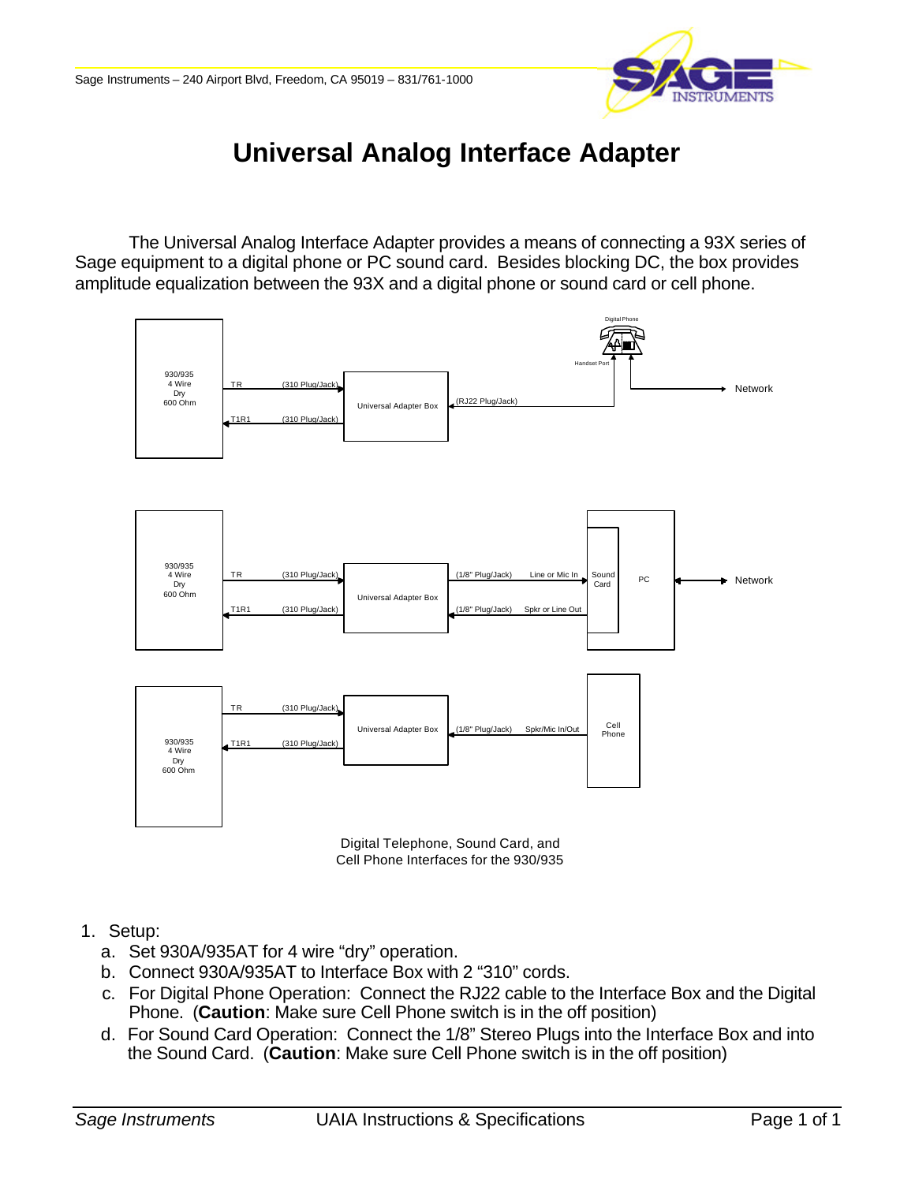

# **Universal Analog Interface Adapter**

The Universal Analog Interface Adapter provides a means of connecting a 93X series of Sage equipment to a digital phone or PC sound card. Besides blocking DC, the box provides amplitude equalization between the 93X and a digital phone or sound card or cell phone.





- a. Set 930A/935AT for 4 wire "dry" operation.
- b. Connect 930A/935AT to Interface Box with 2 "310" cords.
- c. For Digital Phone Operation: Connect the RJ22 cable to the Interface Box and the Digital Phone. (**Caution**: Make sure Cell Phone switch is in the off position)
- d. For Sound Card Operation: Connect the 1/8" Stereo Plugs into the Interface Box and into the Sound Card. (**Caution**: Make sure Cell Phone switch is in the off position)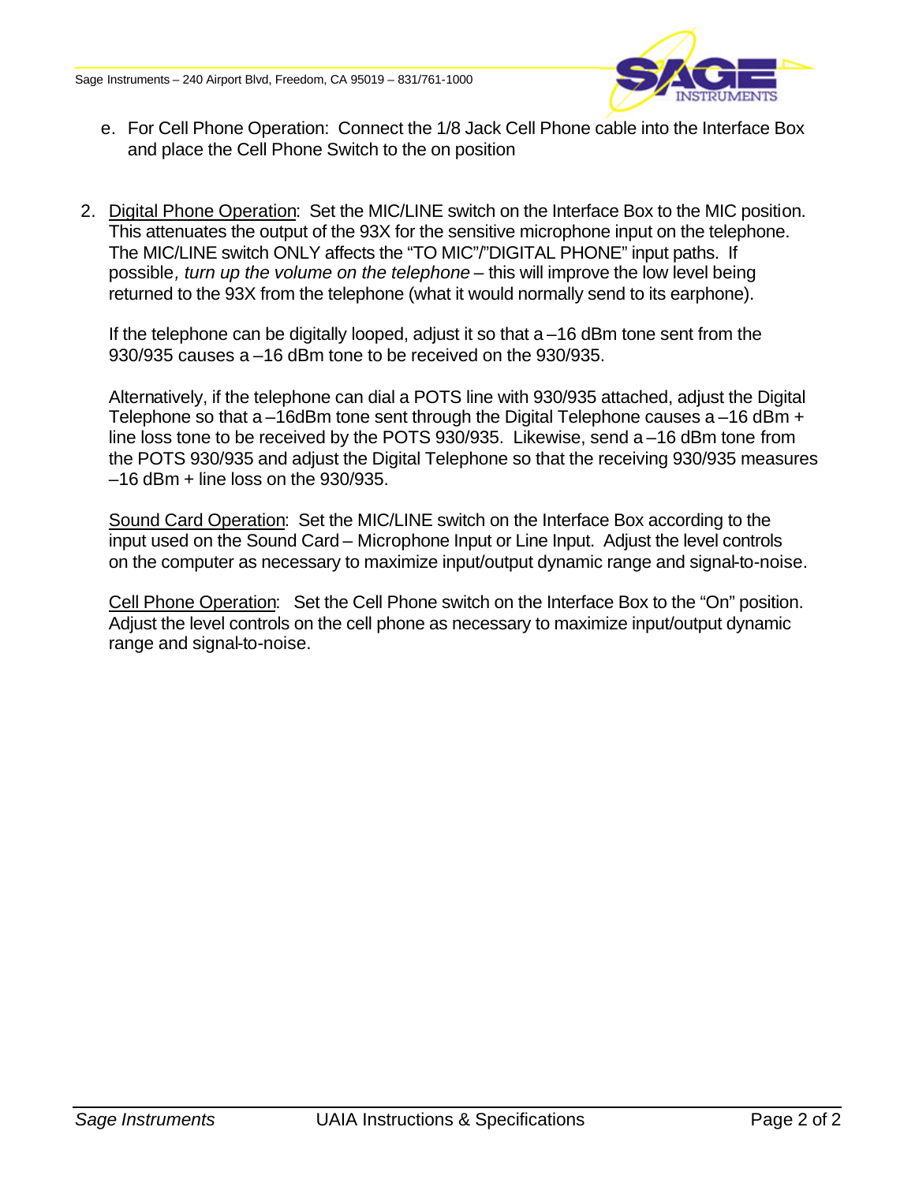

- e. For Cell Phone Operation: Connect the 1/8 Jack Cell Phone cable into the Interface Box and place the Cell Phone Switch to the on position
- 2. Digital Phone Operation: Set the MIC/LINE switch on the Interface Box to the MIC position. This attenuates the output of the 93X for the sensitive microphone input on the telephone. The MIC/LINE switch ONLY affects the "TO MIC"/"DIGITAL PHONE" input paths. If possible*, turn up the volume on the telephone* – this will improve the low level being returned to the 93X from the telephone (what it would normally send to its earphone).

If the telephone can be digitally looped, adjust it so that a –16 dBm tone sent from the 930/935 causes a –16 dBm tone to be received on the 930/935.

Alternatively, if the telephone can dial a POTS line with 930/935 attached, adjust the Digital Telephone so that a  $-16$ dBm tone sent through the Digital Telephone causes a  $-16$  dBm  $+$ line loss tone to be received by the POTS 930/935. Likewise, send a –16 dBm tone from the POTS 930/935 and adjust the Digital Telephone so that the receiving 930/935 measures  $-16$  dBm  $+$  line loss on the 930/935.

Sound Card Operation: Set the MIC/LINE switch on the Interface Box according to the input used on the Sound Card – Microphone Input or Line Input. Adjust the level controls on the computer as necessary to maximize input/output dynamic range and signal-to-noise.

Cell Phone Operation: Set the Cell Phone switch on the Interface Box to the "On" position. Adjust the level controls on the cell phone as necessary to maximize input/output dynamic range and signal-to-noise.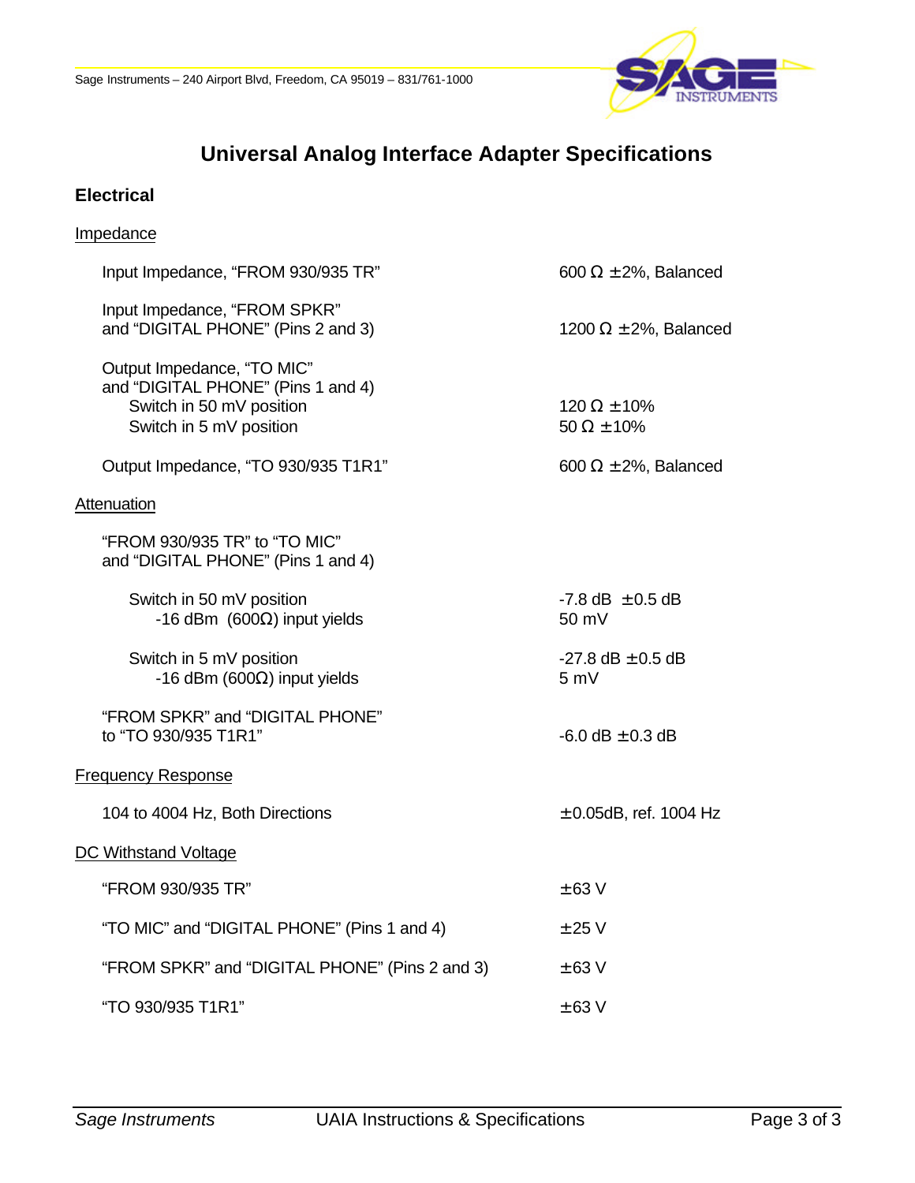

### **Universal Analog Interface Adapter Specifications**

#### **Electrical**

## Impedance Input Impedance, "FROM 930/935 TR" 600 Ω ± 2%, Balanced Input Impedance, "FROM SPKR" and "DIGITAL PHONE" (Pins 2 and 3) 1200  $\Omega \pm 2\%$ , Balanced Output Impedance, "TO MIC" and "DIGITAL PHONE" (Pins 1 and 4) Switch in 50 mV position 120  $\Omega \pm 10\%$ Switch in 5 mV position 50  $\Omega \pm 10\%$ Output Impedance, "TO 930/935 T1R1" 600  $\Omega \pm 2\%$ , Balanced **Attenuation** "FROM 930/935 TR" to "TO MIC" and "DIGITAL PHONE" (Pins 1 and 4) Switch in 50 mV position  $-7.8$  dB  $\pm 0.5$  dB  $-16$  dBm (600Ω) input yields 50 mV Switch in 5 mV position  $-27.8 \text{ dB} \pm 0.5 \text{ dB}$  $-16$  dBm (600Ω) input yields 5 mV "FROM SPKR" and "DIGITAL PHONE" to "TO 930/935 T1R1"  $-6.0 \text{ dB} \pm 0.3 \text{ dB}$ Frequency Response 104 to 4004 Hz, Both Directions  $\pm$  0.05dB, ref. 1004 Hz DC Withstand Voltage  $\pm$  63 V  $\pm$  63 V "TO MIC" and "DIGITAL PHONE" (Pins 1 and 4)  $\pm 25 \text{ V}$ "FROM SPKR" and "DIGITAL PHONE" (Pins 2 and 3)  $\pm 63$  V  $\pm$  63 V  $\pm$  63 V